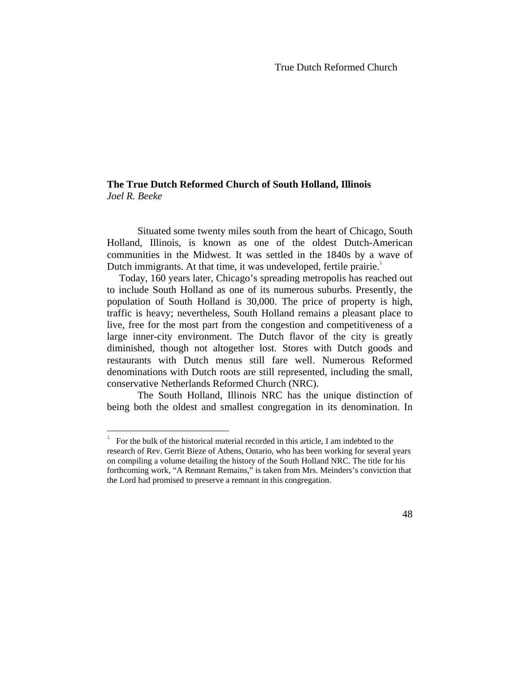# **The True Dutch Reformed Church of South Holland, Illinois**  *Joel R. Beeke*

Situated some twenty miles south from the heart of Chicago, South Holland, Illinois, is known as one of the oldest Dutch-American communities in the Midwest. It was settled in the 1840s by a wave of Dutch immigrants. At that time, it was undeveloped, fertile prairie.<sup>1</sup>

 Today, 160 years later, Chicago's spreading metropolis has reached out to include South Holland as one of its numerous suburbs. Presently, the population of South Holland is 30,000. The price of property is high, traffic is heavy; nevertheless, South Holland remains a pleasant place to live, free for the most part from the congestion and competitiveness of a large inner-city environment. The Dutch flavor of the city is greatly diminished, though not altogether lost. Stores with Dutch goods and restaurants with Dutch menus still fare well. Numerous Reformed denominations with Dutch roots are still represented, including the small, conservative Netherlands Reformed Church (NRC).

The South Holland, Illinois NRC has the unique distinction of being both the oldest and smallest congregation in its denomination. In

 $\overline{a}$ 

<sup>1</sup> For the bulk of the historical material recorded in this article, I am indebted to the research of Rev. Gerrit Bieze of Athens, Ontario, who has been working for several years on compiling a volume detailing the history of the South Holland NRC. The title for his forthcoming work, "A Remnant Remains," is taken from Mrs. Meinders's conviction that the Lord had promised to preserve a remnant in this congregation.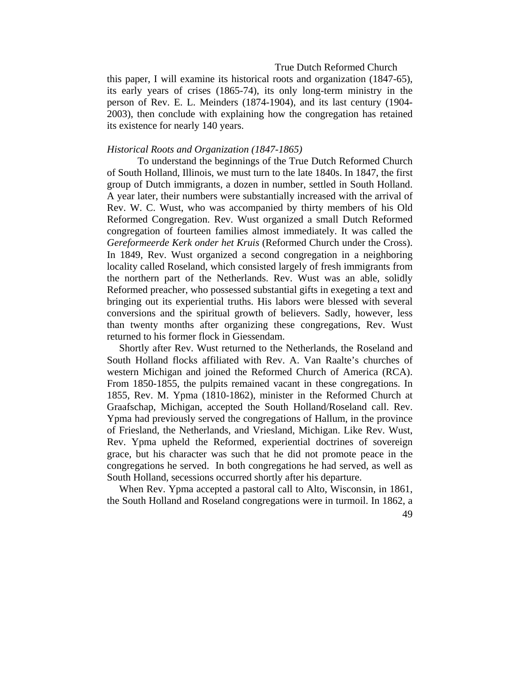this paper, I will examine its historical roots and organization (1847-65), its early years of crises (1865-74), its only long-term ministry in the person of Rev. E. L. Meinders (1874-1904), and its last century (1904- 2003), then conclude with explaining how the congregation has retained its existence for nearly 140 years.

#### *Historical Roots and Organization (1847-1865)*

To understand the beginnings of the True Dutch Reformed Church of South Holland, Illinois, we must turn to the late 1840s. In 1847, the first group of Dutch immigrants, a dozen in number, settled in South Holland. A year later, their numbers were substantially increased with the arrival of Rev. W. C. Wust, who was accompanied by thirty members of his Old Reformed Congregation. Rev. Wust organized a small Dutch Reformed congregation of fourteen families almost immediately. It was called the *Gereformeerde Kerk onder het Kruis* (Reformed Church under the Cross). In 1849, Rev. Wust organized a second congregation in a neighboring locality called Roseland, which consisted largely of fresh immigrants from the northern part of the Netherlands. Rev. Wust was an able, solidly Reformed preacher, who possessed substantial gifts in exegeting a text and bringing out its experiential truths. His labors were blessed with several conversions and the spiritual growth of believers. Sadly, however, less than twenty months after organizing these congregations, Rev. Wust returned to his former flock in Giessendam.

 Shortly after Rev. Wust returned to the Netherlands, the Roseland and South Holland flocks affiliated with Rev. A. Van Raalte's churches of western Michigan and joined the Reformed Church of America (RCA). From 1850-1855, the pulpits remained vacant in these congregations. In 1855, Rev. M. Ypma (1810-1862), minister in the Reformed Church at Graafschap, Michigan, accepted the South Holland/Roseland call. Rev. Ypma had previously served the congregations of Hallum, in the province of Friesland, the Netherlands, and Vriesland, Michigan. Like Rev. Wust, Rev. Ypma upheld the Reformed, experiential doctrines of sovereign grace, but his character was such that he did not promote peace in the congregations he served. In both congregations he had served, as well as South Holland, secessions occurred shortly after his departure.

 When Rev. Ypma accepted a pastoral call to Alto, Wisconsin, in 1861, the South Holland and Roseland congregations were in turmoil. In 1862, a

<sup>49</sup>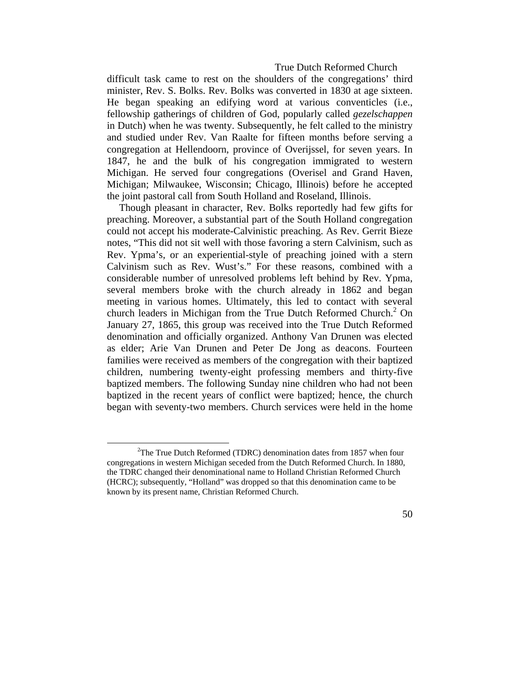difficult task came to rest on the shoulders of the congregations' third minister, Rev. S. Bolks. Rev. Bolks was converted in 1830 at age sixteen. He began speaking an edifying word at various conventicles (i.e., fellowship gatherings of children of God, popularly called *gezelschappen* in Dutch) when he was twenty. Subsequently, he felt called to the ministry and studied under Rev. Van Raalte for fifteen months before serving a congregation at Hellendoorn, province of Overijssel, for seven years. In 1847, he and the bulk of his congregation immigrated to western Michigan. He served four congregations (Overisel and Grand Haven, Michigan; Milwaukee, Wisconsin; Chicago, Illinois) before he accepted the joint pastoral call from South Holland and Roseland, Illinois.

 Though pleasant in character, Rev. Bolks reportedly had few gifts for preaching. Moreover, a substantial part of the South Holland congregation could not accept his moderate-Calvinistic preaching. As Rev. Gerrit Bieze notes, "This did not sit well with those favoring a stern Calvinism, such as Rev. Ypma's, or an experiential-style of preaching joined with a stern Calvinism such as Rev. Wust's." For these reasons, combined with a considerable number of unresolved problems left behind by Rev. Ypma, several members broke with the church already in 1862 and began meeting in various homes. Ultimately, this led to contact with several church leaders in Michigan from the True Dutch Reformed Church.<sup>2</sup> On January 27, 1865, this group was received into the True Dutch Reformed denomination and officially organized. Anthony Van Drunen was elected as elder; Arie Van Drunen and Peter De Jong as deacons. Fourteen families were received as members of the congregation with their baptized children, numbering twenty-eight professing members and thirty-five baptized members. The following Sunday nine children who had not been baptized in the recent years of conflict were baptized; hence, the church began with seventy-two members. Church services were held in the home

 $\frac{1}{2}$  $2$ The True Dutch Reformed (TDRC) denomination dates from 1857 when four congregations in western Michigan seceded from the Dutch Reformed Church. In 1880, the TDRC changed their denominational name to Holland Christian Reformed Church (HCRC); subsequently, "Holland" was dropped so that this denomination came to be known by its present name, Christian Reformed Church.

<sup>50</sup>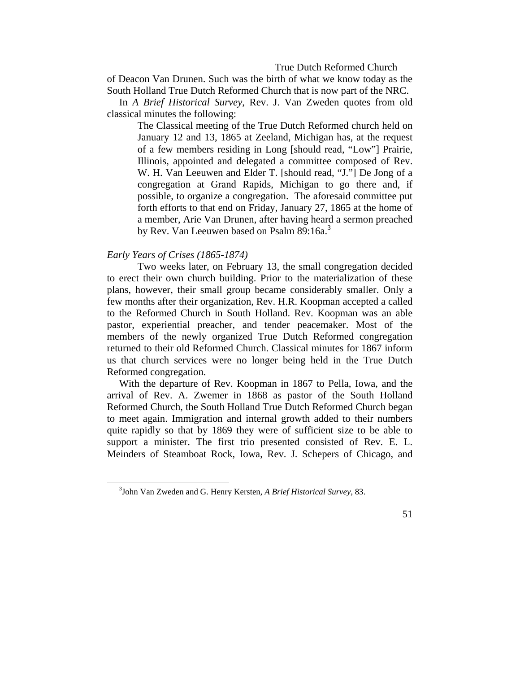of Deacon Van Drunen. Such was the birth of what we know today as the South Holland True Dutch Reformed Church that is now part of the NRC.

 In *A Brief Historical Survey*, Rev. J. Van Zweden quotes from old classical minutes the following:

The Classical meeting of the True Dutch Reformed church held on January 12 and 13, 1865 at Zeeland, Michigan has, at the request of a few members residing in Long [should read, "Low"] Prairie, Illinois, appointed and delegated a committee composed of Rev. W. H. Van Leeuwen and Elder T. [should read, "J."] De Jong of a congregation at Grand Rapids, Michigan to go there and, if possible, to organize a congregation. The aforesaid committee put forth efforts to that end on Friday, January 27, 1865 at the home of a member, Arie Van Drunen, after having heard a sermon preached by Rev. Van Leeuwen based on Psalm 89:16a.<sup>3</sup>

# *Early Years of Crises (1865-1874)*

Two weeks later, on February 13, the small congregation decided to erect their own church building. Prior to the materialization of these plans, however, their small group became considerably smaller. Only a few months after their organization, Rev. H.R. Koopman accepted a called to the Reformed Church in South Holland. Rev. Koopman was an able pastor, experiential preacher, and tender peacemaker. Most of the members of the newly organized True Dutch Reformed congregation returned to their old Reformed Church. Classical minutes for 1867 inform us that church services were no longer being held in the True Dutch Reformed congregation.

 With the departure of Rev. Koopman in 1867 to Pella, Iowa, and the arrival of Rev. A. Zwemer in 1868 as pastor of the South Holland Reformed Church, the South Holland True Dutch Reformed Church began to meet again. Immigration and internal growth added to their numbers quite rapidly so that by 1869 they were of sufficient size to be able to support a minister. The first trio presented consisted of Rev. E. L. Meinders of Steamboat Rock, Iowa, Rev. J. Schepers of Chicago, and

 $\frac{1}{3}$ John Van Zweden and G. Henry Kersten, *A Brief Historical Survey,* 83.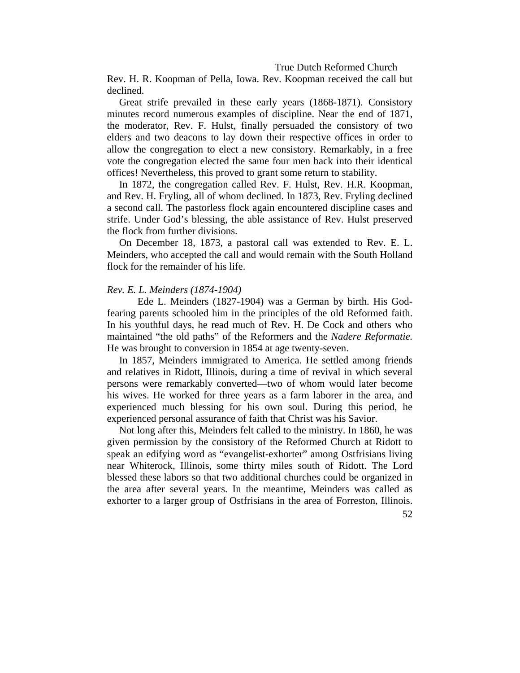Rev. H. R. Koopman of Pella, Iowa. Rev. Koopman received the call but declined.

 Great strife prevailed in these early years (1868-1871). Consistory minutes record numerous examples of discipline. Near the end of 1871, the moderator, Rev. F. Hulst, finally persuaded the consistory of two elders and two deacons to lay down their respective offices in order to allow the congregation to elect a new consistory. Remarkably, in a free vote the congregation elected the same four men back into their identical offices! Nevertheless, this proved to grant some return to stability.

 In 1872, the congregation called Rev. F. Hulst, Rev. H.R. Koopman, and Rev. H. Fryling, all of whom declined. In 1873, Rev. Fryling declined a second call. The pastorless flock again encountered discipline cases and strife. Under God's blessing, the able assistance of Rev. Hulst preserved the flock from further divisions.

 On December 18, 1873, a pastoral call was extended to Rev. E. L. Meinders, who accepted the call and would remain with the South Holland flock for the remainder of his life.

# *Rev. E. L. Meinders (1874-1904)*

Ede L. Meinders (1827-1904) was a German by birth. His Godfearing parents schooled him in the principles of the old Reformed faith. In his youthful days, he read much of Rev. H. De Cock and others who maintained "the old paths" of the Reformers and the *Nadere Reformatie.*  He was brought to conversion in 1854 at age twenty-seven.

 In 1857, Meinders immigrated to America. He settled among friends and relatives in Ridott, Illinois, during a time of revival in which several persons were remarkably converted—two of whom would later become his wives. He worked for three years as a farm laborer in the area, and experienced much blessing for his own soul. During this period, he experienced personal assurance of faith that Christ was his Savior.

 Not long after this, Meinders felt called to the ministry. In 1860, he was given permission by the consistory of the Reformed Church at Ridott to speak an edifying word as "evangelist-exhorter" among Ostfrisians living near Whiterock, Illinois, some thirty miles south of Ridott. The Lord blessed these labors so that two additional churches could be organized in the area after several years. In the meantime, Meinders was called as exhorter to a larger group of Ostfrisians in the area of Forreston, Illinois.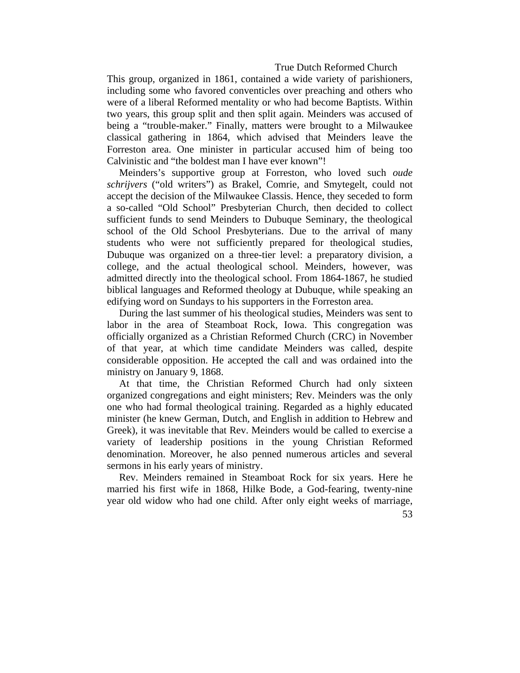This group, organized in 1861, contained a wide variety of parishioners, including some who favored conventicles over preaching and others who were of a liberal Reformed mentality or who had become Baptists. Within two years, this group split and then split again. Meinders was accused of being a "trouble-maker." Finally, matters were brought to a Milwaukee classical gathering in 1864, which advised that Meinders leave the Forreston area. One minister in particular accused him of being too Calvinistic and "the boldest man I have ever known"!

 Meinders's supportive group at Forreston, who loved such *oude schrijvers* ("old writers") as Brakel, Comrie, and Smytegelt, could not accept the decision of the Milwaukee Classis. Hence, they seceded to form a so-called "Old School" Presbyterian Church, then decided to collect sufficient funds to send Meinders to Dubuque Seminary, the theological school of the Old School Presbyterians. Due to the arrival of many students who were not sufficiently prepared for theological studies, Dubuque was organized on a three-tier level: a preparatory division, a college, and the actual theological school. Meinders, however, was admitted directly into the theological school. From 1864-1867, he studied biblical languages and Reformed theology at Dubuque, while speaking an edifying word on Sundays to his supporters in the Forreston area.

 During the last summer of his theological studies, Meinders was sent to labor in the area of Steamboat Rock, Iowa. This congregation was officially organized as a Christian Reformed Church (CRC) in November of that year, at which time candidate Meinders was called, despite considerable opposition. He accepted the call and was ordained into the ministry on January 9, 1868.

 At that time, the Christian Reformed Church had only sixteen organized congregations and eight ministers; Rev. Meinders was the only one who had formal theological training. Regarded as a highly educated minister (he knew German, Dutch, and English in addition to Hebrew and Greek), it was inevitable that Rev. Meinders would be called to exercise a variety of leadership positions in the young Christian Reformed denomination. Moreover, he also penned numerous articles and several sermons in his early years of ministry.

 Rev. Meinders remained in Steamboat Rock for six years. Here he married his first wife in 1868, Hilke Bode, a God-fearing, twenty-nine year old widow who had one child. After only eight weeks of marriage,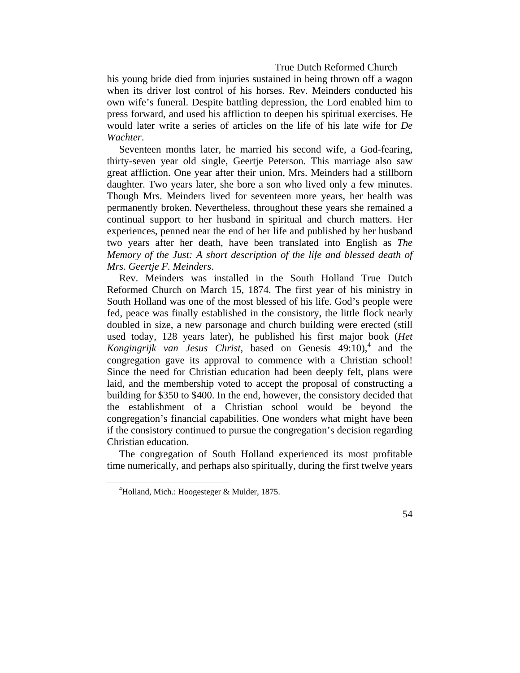his young bride died from injuries sustained in being thrown off a wagon when its driver lost control of his horses. Rev. Meinders conducted his own wife's funeral. Despite battling depression, the Lord enabled him to press forward, and used his affliction to deepen his spiritual exercises. He would later write a series of articles on the life of his late wife for *De Wachter*.

 Seventeen months later, he married his second wife, a God-fearing, thirty-seven year old single, Geertje Peterson. This marriage also saw great affliction. One year after their union, Mrs. Meinders had a stillborn daughter. Two years later, she bore a son who lived only a few minutes. Though Mrs. Meinders lived for seventeen more years, her health was permanently broken. Nevertheless, throughout these years she remained a continual support to her husband in spiritual and church matters. Her experiences, penned near the end of her life and published by her husband two years after her death, have been translated into English as *The Memory of the Just: A short description of the life and blessed death of Mrs. Geertje F. Meinders*.

 Rev. Meinders was installed in the South Holland True Dutch Reformed Church on March 15, 1874. The first year of his ministry in South Holland was one of the most blessed of his life. God's people were fed, peace was finally established in the consistory, the little flock nearly doubled in size, a new parsonage and church building were erected (still used today, 128 years later), he published his first major book (*Het*  Kongingrijk van Jesus Christ, based on Genesis 49:10),<sup>4</sup> and the congregation gave its approval to commence with a Christian school! Since the need for Christian education had been deeply felt, plans were laid, and the membership voted to accept the proposal of constructing a building for \$350 to \$400. In the end, however, the consistory decided that the establishment of a Christian school would be beyond the congregation's financial capabilities. One wonders what might have been if the consistory continued to pursue the congregation's decision regarding Christian education.

 The congregation of South Holland experienced its most profitable time numerically, and perhaps also spiritually, during the first twelve years

 <sup>4</sup> Holland, Mich.: Hoogesteger & Mulder, 1875.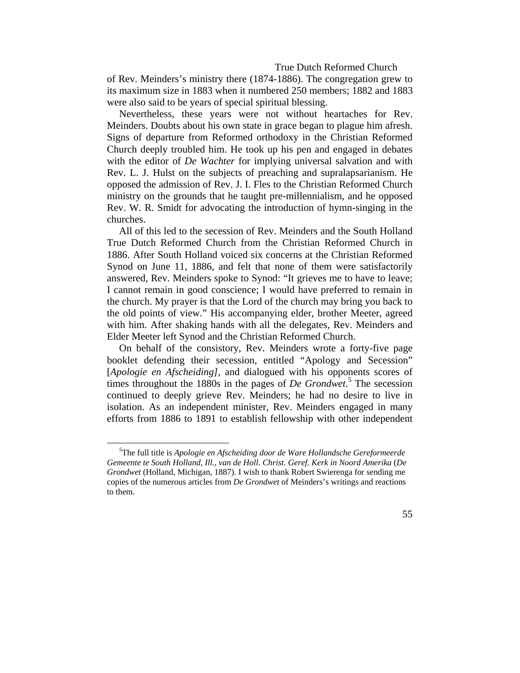of Rev. Meinders's ministry there (1874-1886). The congregation grew to its maximum size in 1883 when it numbered 250 members; 1882 and 1883 were also said to be years of special spiritual blessing.

 Nevertheless, these years were not without heartaches for Rev. Meinders. Doubts about his own state in grace began to plague him afresh. Signs of departure from Reformed orthodoxy in the Christian Reformed Church deeply troubled him. He took up his pen and engaged in debates with the editor of *De Wachter* for implying universal salvation and with Rev. L. J. Hulst on the subjects of preaching and supralapsarianism. He opposed the admission of Rev. J. I. Fles to the Christian Reformed Church ministry on the grounds that he taught pre-millennialism, and he opposed Rev. W. R. Smidt for advocating the introduction of hymn-singing in the churches.

 All of this led to the secession of Rev. Meinders and the South Holland True Dutch Reformed Church from the Christian Reformed Church in 1886. After South Holland voiced six concerns at the Christian Reformed Synod on June 11, 1886, and felt that none of them were satisfactorily answered, Rev. Meinders spoke to Synod: "It grieves me to have to leave; I cannot remain in good conscience; I would have preferred to remain in the church. My prayer is that the Lord of the church may bring you back to the old points of view." His accompanying elder, brother Meeter, agreed with him. After shaking hands with all the delegates, Rev. Meinders and Elder Meeter left Synod and the Christian Reformed Church.

 On behalf of the consistory, Rev. Meinders wrote a forty-five page booklet defending their secession, entitled "Apology and Secession" [*Apologie en Afscheiding*], and dialogued with his opponents scores of times throughout the 1880s in the pages of *De Grondwet*. 5 The secession continued to deeply grieve Rev. Meinders; he had no desire to live in isolation. As an independent minister, Rev. Meinders engaged in many efforts from 1886 to 1891 to establish fellowship with other independent

 $\frac{1}{5}$ The full title is *Apologie en Afscheiding door de Ware Hollandsche Gereformeerde Gemeente te South Holland, Ill., van de Holl. Christ. Geref. Kerk in Noord Amerika* (*De Grondwet* (Holland, Michigan, 1887). I wish to thank Robert Swierenga for sending me copies of the numerous articles from *De Grondwet* of Meinders's writings and reactions to them.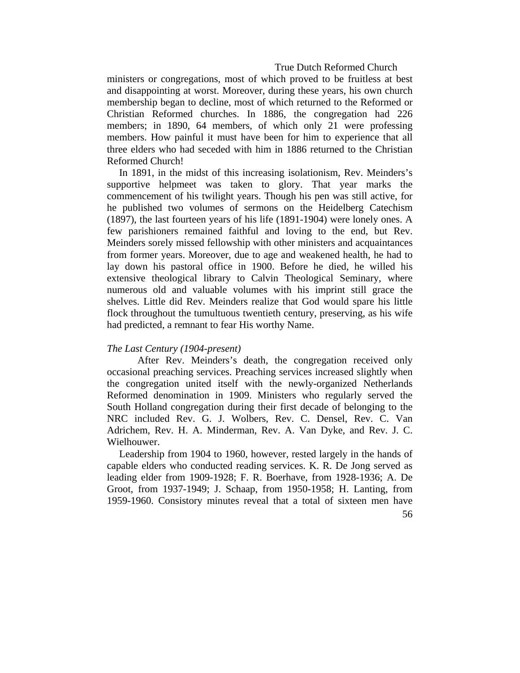ministers or congregations, most of which proved to be fruitless at best and disappointing at worst. Moreover, during these years, his own church membership began to decline, most of which returned to the Reformed or Christian Reformed churches. In 1886, the congregation had 226 members; in 1890, 64 members, of which only 21 were professing members. How painful it must have been for him to experience that all three elders who had seceded with him in 1886 returned to the Christian Reformed Church!

 In 1891, in the midst of this increasing isolationism, Rev. Meinders's supportive helpmeet was taken to glory. That year marks the commencement of his twilight years. Though his pen was still active, for he published two volumes of sermons on the Heidelberg Catechism (1897), the last fourteen years of his life (1891-1904) were lonely ones. A few parishioners remained faithful and loving to the end, but Rev. Meinders sorely missed fellowship with other ministers and acquaintances from former years. Moreover, due to age and weakened health, he had to lay down his pastoral office in 1900. Before he died, he willed his extensive theological library to Calvin Theological Seminary, where numerous old and valuable volumes with his imprint still grace the shelves. Little did Rev. Meinders realize that God would spare his little flock throughout the tumultuous twentieth century, preserving, as his wife had predicted, a remnant to fear His worthy Name.

# *The Last Century (1904-present)*

After Rev. Meinders's death, the congregation received only occasional preaching services. Preaching services increased slightly when the congregation united itself with the newly-organized Netherlands Reformed denomination in 1909. Ministers who regularly served the South Holland congregation during their first decade of belonging to the NRC included Rev. G. J. Wolbers, Rev. C. Densel, Rev. C. Van Adrichem, Rev. H. A. Minderman, Rev. A. Van Dyke, and Rev. J. C. Wielhouwer.

 Leadership from 1904 to 1960, however, rested largely in the hands of capable elders who conducted reading services. K. R. De Jong served as leading elder from 1909-1928; F. R. Boerhave, from 1928-1936; A. De Groot, from 1937-1949; J. Schaap, from 1950-1958; H. Lanting, from 1959-1960. Consistory minutes reveal that a total of sixteen men have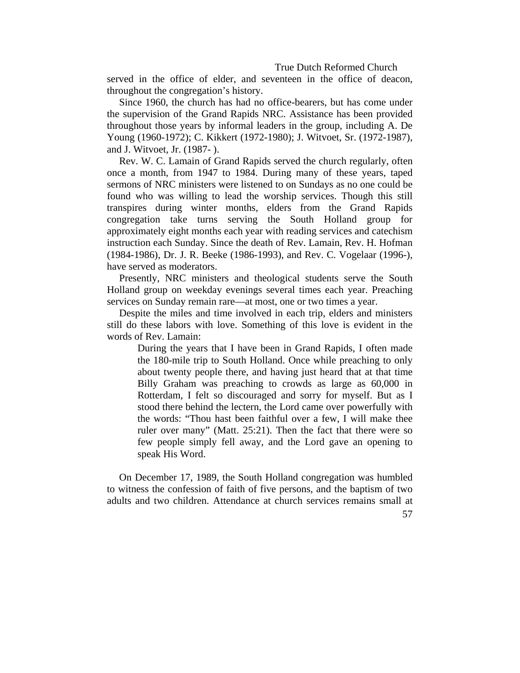served in the office of elder, and seventeen in the office of deacon, throughout the congregation's history.

 Since 1960, the church has had no office-bearers, but has come under the supervision of the Grand Rapids NRC. Assistance has been provided throughout those years by informal leaders in the group, including A. De Young (1960-1972); C. Kikkert (1972-1980); J. Witvoet, Sr. (1972-1987), and J. Witvoet, Jr. (1987- ).

 Rev. W. C. Lamain of Grand Rapids served the church regularly, often once a month, from 1947 to 1984. During many of these years, taped sermons of NRC ministers were listened to on Sundays as no one could be found who was willing to lead the worship services. Though this still transpires during winter months, elders from the Grand Rapids congregation take turns serving the South Holland group for approximately eight months each year with reading services and catechism instruction each Sunday. Since the death of Rev. Lamain, Rev. H. Hofman (1984-1986), Dr. J. R. Beeke (1986-1993), and Rev. C. Vogelaar (1996-), have served as moderators.

 Presently, NRC ministers and theological students serve the South Holland group on weekday evenings several times each year. Preaching services on Sunday remain rare—at most, one or two times a year.

 Despite the miles and time involved in each trip, elders and ministers still do these labors with love. Something of this love is evident in the words of Rev. Lamain:

During the years that I have been in Grand Rapids, I often made the 180-mile trip to South Holland. Once while preaching to only about twenty people there, and having just heard that at that time Billy Graham was preaching to crowds as large as 60,000 in Rotterdam, I felt so discouraged and sorry for myself. But as I stood there behind the lectern, the Lord came over powerfully with the words: "Thou hast been faithful over a few, I will make thee ruler over many" (Matt. 25:21). Then the fact that there were so few people simply fell away, and the Lord gave an opening to speak His Word.

 On December 17, 1989, the South Holland congregation was humbled to witness the confession of faith of five persons, and the baptism of two adults and two children. Attendance at church services remains small at